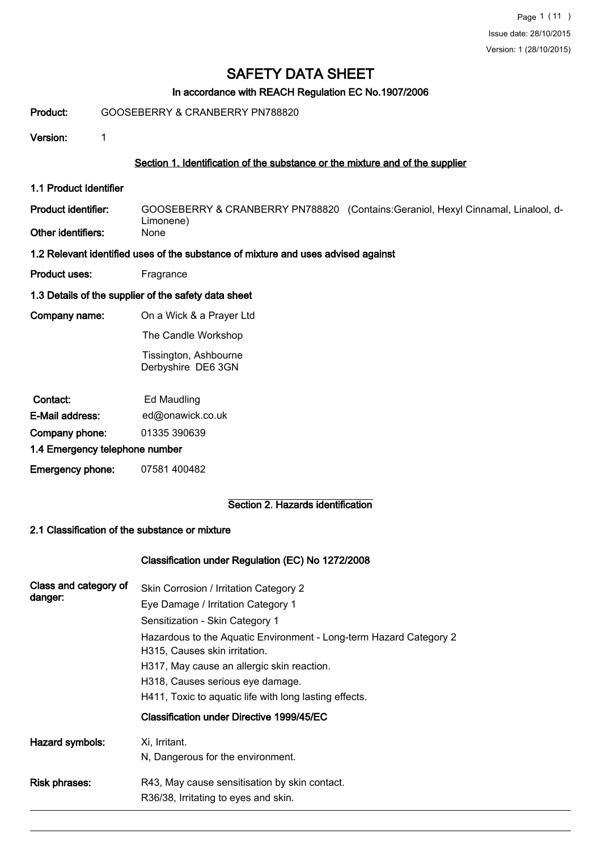# In accordance with REACH Regulation EC No.1907/2006

#### Product: GOOSEBERRY & CRANBERRY PN788820

Version: 1

# Section 1. Identification of the substance or the mixture and of the supplier

1.1 Product Identifier

GOOSEBERRY & CRANBERRY PN788820 (Contains:Geraniol, Hexyl Cinnamal, Linalool, d-Limonene)<br>None Product identifier: Other identifiers:

- 1.2 Relevant identified uses of the substance of mixture and uses advised against
- Product uses: Fragrance
- 1.3 Details of the supplier of the safety data sheet
- Company name: On a Wick & a Prayer Ltd
	- The Candle Workshop

 Tissington, Ashbourne Derbyshire DE6 3GN

| Contact:                       | Ed Maudling      |  |  |
|--------------------------------|------------------|--|--|
| E-Mail address:                | ed@onawick.co.uk |  |  |
| Company phone:                 | 01335 390639     |  |  |
| 4 4 Emarganas talenhema pumbar |                  |  |  |

- 1.4 Emergency telephone number
- Emergency phone: 07581 400482

### Section 2. Hazards identification

### 2.1 Classification of the substance or mixture

#### Classification under Regulation (EC) No 1272/2008

| Class and category of<br>danger: | Skin Corrosion / Irritation Category 2<br>Eye Damage / Irritation Category 1<br>Sensitization - Skin Category 1<br>Hazardous to the Aquatic Environment - Long-term Hazard Category 2<br>H315, Causes skin irritation.<br>H317, May cause an allergic skin reaction.<br>H318, Causes serious eye damage.<br>H411, Toxic to aquatic life with long lasting effects.<br>Classification under Directive 1999/45/EC |
|----------------------------------|-----------------------------------------------------------------------------------------------------------------------------------------------------------------------------------------------------------------------------------------------------------------------------------------------------------------------------------------------------------------------------------------------------------------|
| Hazard symbols:                  | Xi, Irritant.<br>N, Dangerous for the environment.                                                                                                                                                                                                                                                                                                                                                              |
| <b>Risk phrases:</b>             | R43, May cause sensitisation by skin contact.<br>R36/38, Irritating to eyes and skin.                                                                                                                                                                                                                                                                                                                           |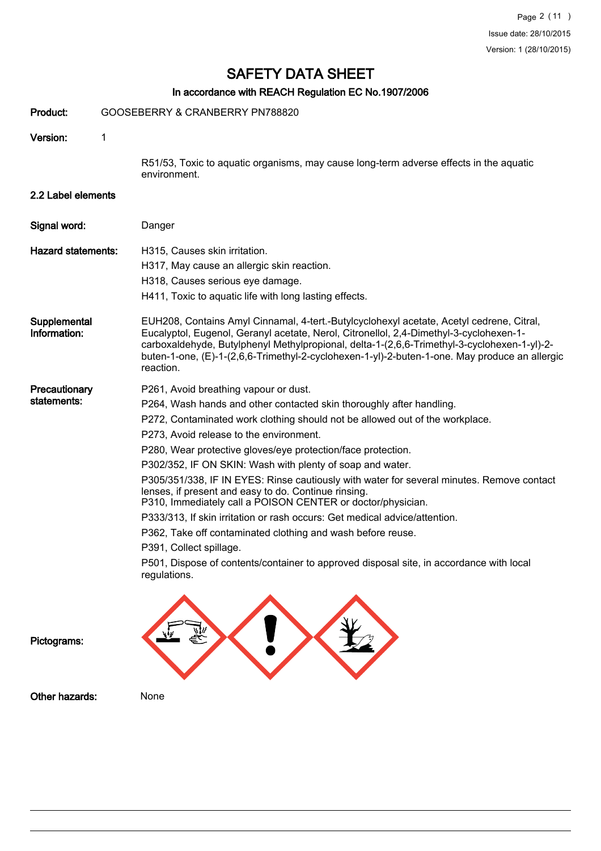# In accordance with REACH Regulation EC No.1907/2006

| Product:                     | GOOSEBERRY & CRANBERRY PN788820                                                                                                                                                                                                                                                                                                                                                                                                                                                                                                                                                                                                                                                                                                                                                                                                                                              |
|------------------------------|------------------------------------------------------------------------------------------------------------------------------------------------------------------------------------------------------------------------------------------------------------------------------------------------------------------------------------------------------------------------------------------------------------------------------------------------------------------------------------------------------------------------------------------------------------------------------------------------------------------------------------------------------------------------------------------------------------------------------------------------------------------------------------------------------------------------------------------------------------------------------|
| Version:                     | 1                                                                                                                                                                                                                                                                                                                                                                                                                                                                                                                                                                                                                                                                                                                                                                                                                                                                            |
|                              | R51/53, Toxic to aquatic organisms, may cause long-term adverse effects in the aquatic<br>environment.                                                                                                                                                                                                                                                                                                                                                                                                                                                                                                                                                                                                                                                                                                                                                                       |
| 2.2 Label elements           |                                                                                                                                                                                                                                                                                                                                                                                                                                                                                                                                                                                                                                                                                                                                                                                                                                                                              |
| Signal word:                 | Danger                                                                                                                                                                                                                                                                                                                                                                                                                                                                                                                                                                                                                                                                                                                                                                                                                                                                       |
| <b>Hazard statements:</b>    | H315, Causes skin irritation.<br>H317, May cause an allergic skin reaction.<br>H318, Causes serious eye damage.<br>H411, Toxic to aquatic life with long lasting effects.                                                                                                                                                                                                                                                                                                                                                                                                                                                                                                                                                                                                                                                                                                    |
| Supplemental<br>Information: | EUH208, Contains Amyl Cinnamal, 4-tert.-Butylcyclohexyl acetate, Acetyl cedrene, Citral,<br>Eucalyptol, Eugenol, Geranyl acetate, Nerol, Citronellol, 2,4-Dimethyl-3-cyclohexen-1-<br>carboxaldehyde, Butylphenyl Methylpropional, delta-1-(2,6,6-Trimethyl-3-cyclohexen-1-yl)-2-<br>buten-1-one, (E)-1-(2,6,6-Trimethyl-2-cyclohexen-1-yl)-2-buten-1-one. May produce an allergic<br>reaction.                                                                                                                                                                                                                                                                                                                                                                                                                                                                              |
| Precautionary<br>statements: | P261, Avoid breathing vapour or dust.<br>P264, Wash hands and other contacted skin thoroughly after handling.<br>P272, Contaminated work clothing should not be allowed out of the workplace.<br>P273, Avoid release to the environment.<br>P280, Wear protective gloves/eye protection/face protection.<br>P302/352, IF ON SKIN: Wash with plenty of soap and water.<br>P305/351/338, IF IN EYES: Rinse cautiously with water for several minutes. Remove contact<br>lenses, if present and easy to do. Continue rinsing.<br>P310, Immediately call a POISON CENTER or doctor/physician.<br>P333/313, If skin irritation or rash occurs: Get medical advice/attention.<br>P362, Take off contaminated clothing and wash before reuse.<br>P391, Collect spillage.<br>P501, Dispose of contents/container to approved disposal site, in accordance with local<br>regulations. |
| Pictograms:                  |                                                                                                                                                                                                                                                                                                                                                                                                                                                                                                                                                                                                                                                                                                                                                                                                                                                                              |
| Other hazards:               | None                                                                                                                                                                                                                                                                                                                                                                                                                                                                                                                                                                                                                                                                                                                                                                                                                                                                         |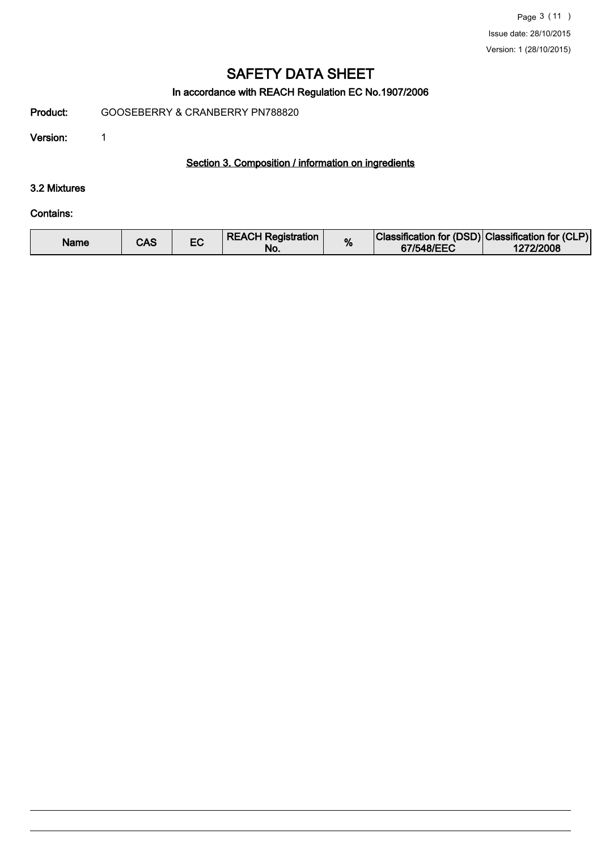# In accordance with REACH Regulation EC No.1907/2006

Product: GOOSEBERRY & CRANBERRY PN788820

Version: 1

# Section 3. Composition / information on ingredients

#### 3.2 Mixtures

### Contains:

| Name | CAS |  | <b>REACH Registration</b><br>No. | % | Classification for (DSD) Classification for (CLP)<br>67/548/EEC | 1272/2008 |
|------|-----|--|----------------------------------|---|-----------------------------------------------------------------|-----------|
|------|-----|--|----------------------------------|---|-----------------------------------------------------------------|-----------|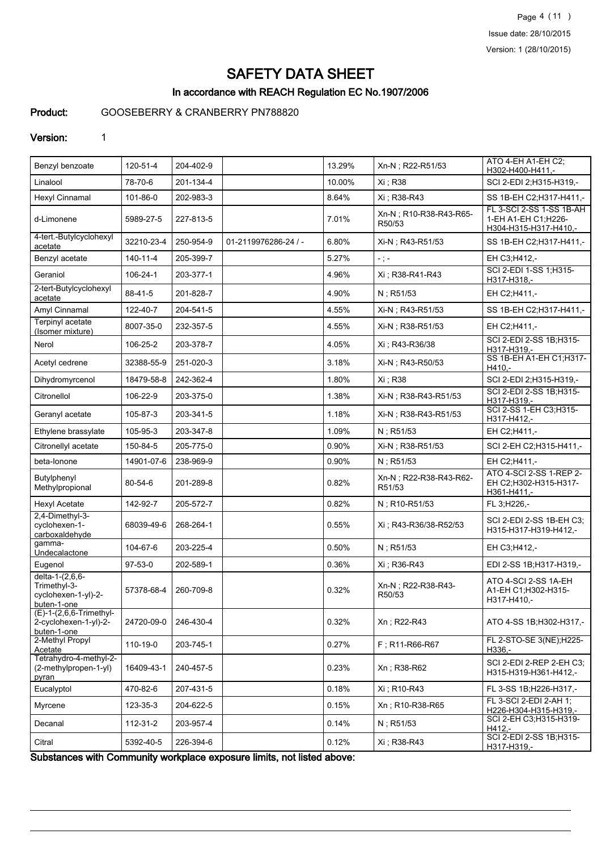Page 4 (11 ) Issue date: 28/10/2015 Version: 1 (28/10/2015)

# SAFETY DATA SHEET

# In accordance with REACH Regulation EC No.1907/2006

# Product: GOOSEBERRY & CRANBERRY PN788820

#### Version: 1

| Benzyl benzoate                                                       | 120-51-4       | 204-402-9 |                      | 13.29% | Xn-N; R22-R51/53                 | ATO 4-EH A1-EH C2:<br>H302-H400-H411,-                                   |
|-----------------------------------------------------------------------|----------------|-----------|----------------------|--------|----------------------------------|--------------------------------------------------------------------------|
| Linalool                                                              | 78-70-6        | 201-134-4 |                      | 10.00% | Xi : R38                         | SCI 2-EDI 2;H315-H319,-                                                  |
| Hexyl Cinnamal                                                        | 101-86-0       | 202-983-3 |                      | 8.64%  | Xi : R38-R43                     | SS 1B-EH C2; H317-H411,-                                                 |
| d-Limonene                                                            | 5989-27-5      | 227-813-5 |                      | 7.01%  | Xn-N; R10-R38-R43-R65-<br>R50/53 | FL 3-SCI 2-SS 1-SS 1B-AH<br>1-EH A1-EH C1;H226-<br>H304-H315-H317-H410,- |
| 4-tert.-Butylcyclohexyl<br>acetate                                    | 32210-23-4     | 250-954-9 | 01-2119976286-24 / - | 6.80%  | Xi-N ; R43-R51/53                | SS 1B-EH C2; H317-H411,-                                                 |
| Benzyl acetate                                                        | $140 - 11 - 4$ | 205-399-7 |                      | 5.27%  | $\sim$ ) $\sim$                  | EH C3:H412,-                                                             |
| Geraniol                                                              | 106-24-1       | 203-377-1 |                      | 4.96%  | Xi ; R38-R41-R43                 | SCI 2-EDI 1-SS 1;H315-<br>H317-H318,-                                    |
| 2-tert-Butylcyclohexyl<br>acetate                                     | 88-41-5        | 201-828-7 |                      | 4.90%  | N: R51/53                        | EH C2;H411,-                                                             |
| Amyl Cinnamal                                                         | 122-40-7       | 204-541-5 |                      | 4.55%  | Xi-N; R43-R51/53                 | SS 1B-EH C2; H317-H411,-                                                 |
| Terpinyl acetate<br>(Isomer mixture)                                  | 8007-35-0      | 232-357-5 |                      | 4.55%  | Xi-N : R38-R51/53                | EH C2;H411,-                                                             |
| Nerol                                                                 | 106-25-2       | 203-378-7 |                      | 4.05%  | Xi : R43-R36/38                  | SCI 2-EDI 2-SS 1B;H315-<br>H317-H319,-                                   |
| Acetyl cedrene                                                        | 32388-55-9     | 251-020-3 |                      | 3.18%  | Xi-N : R43-R50/53                | SS 1B-EH A1-EH C1; H317-<br>$H410. -$                                    |
| Dihydromyrcenol                                                       | 18479-58-8     | 242-362-4 |                      | 1.80%  | Xi: R38                          | SCI 2-EDI 2;H315-H319,-                                                  |
| Citronellol                                                           | 106-22-9       | 203-375-0 |                      | 1.38%  | Xi-N; R38-R43-R51/53             | SCI 2-EDI 2-SS 1B;H315-<br>H317-H319,-                                   |
| Geranyl acetate                                                       | 105-87-3       | 203-341-5 |                      | 1.18%  | Xi-N; R38-R43-R51/53             | SCI 2-SS 1-EH C3;H315-<br>H317-H412,-                                    |
| Ethylene brassylate                                                   | 105-95-3       | 203-347-8 |                      | 1.09%  | $N$ ; R51/53                     | EH C2;H411,-                                                             |
| Citronellyl acetate                                                   | 150-84-5       | 205-775-0 |                      | 0.90%  | Xi-N; R38-R51/53                 | SCI 2-EH C2; H315-H411,-                                                 |
| beta-lonone                                                           | 14901-07-6     | 238-969-9 |                      | 0.90%  | $N$ ; R51/53                     | EH C2;H411,-                                                             |
| Butylphenyl<br>Methylpropional                                        | 80-54-6        | 201-289-8 |                      | 0.82%  | Xn-N; R22-R38-R43-R62-<br>R51/53 | ATO 4-SCI 2-SS 1-REP 2-<br>EH C2;H302-H315-H317-<br>H361-H411,-          |
| <b>Hexyl Acetate</b>                                                  | 142-92-7       | 205-572-7 |                      | 0.82%  | N; R10-R51/53                    | FL 3;H226,-                                                              |
| 2,4-Dimethyl-3-<br>cyclohexen-1-<br>carboxaldehyde                    | 68039-49-6     | 268-264-1 |                      | 0.55%  | Xi ; R43-R36/38-R52/53           | SCI 2-EDI 2-SS 1B-EH C3;<br>H315-H317-H319-H412,-                        |
| gamma-<br>Undecalactone                                               | 104-67-6       | 203-225-4 |                      | 0.50%  | N: R51/53                        | EH C3:H412,-                                                             |
| Eugenol                                                               | $97-53-0$      | 202-589-1 |                      | 0.36%  | Xi : R36-R43                     | EDI 2-SS 1B; H317-H319,-                                                 |
| delta-1-(2,6,6-<br>Trimethyl-3-<br>cyclohexen-1-yl)-2-<br>buten-1-one | 57378-68-4     | 260-709-8 |                      | 0.32%  | Xn-N; R22-R38-R43-<br>R50/53     | ATO 4-SCI 2-SS 1A-EH<br>A1-EH C1;H302-H315-<br>H317-H410,-               |
| $(E)-1-(2,6,6-Trimethyl-$<br>2-cyclohexen-1-yl)-2-<br>buten-1-one     | 24720-09-0     | 246-430-4 |                      | 0.32%  | Xn; R22-R43                      | ATO 4-SS 1B; H302-H317,-                                                 |
| 2-Methyl Propyl<br>Acetate                                            | 110-19-0       | 203-745-1 |                      | 0.27%  | F; R11-R66-R67                   | FL 2-STO-SE 3(NE);H225-<br>H336,-                                        |
| Tetrahydro-4-methyl-2-<br>(2-methylpropen-1-yl)<br>pyran              | 16409-43-1     | 240-457-5 |                      | 0.23%  | Xn: R38-R62                      | SCI 2-EDI 2-REP 2-EH C3:<br>H315-H319-H361-H412,-                        |
| Eucalyptol                                                            | 470-82-6       | 207-431-5 |                      | 0.18%  | Xi ; R10-R43                     | FL 3-SS 1B; H226-H317,-                                                  |
| Myrcene                                                               | 123-35-3       | 204-622-5 |                      | 0.15%  | Xn; R10-R38-R65                  | FL 3-SCI 2-EDI 2-AH 1;<br>H226-H304-H315-H319,-                          |
| Decanal                                                               | 112-31-2       | 203-957-4 |                      | 0.14%  | N; R51/53                        | SCI 2-EH C3;H315-H319-<br>$H412,-$                                       |
| Citral                                                                | 5392-40-5      | 226-394-6 |                      | 0.12%  | Xi ; R38-R43                     | SCI 2-EDI 2-SS 1B;H315-<br>H317-H319,-                                   |

Substances with Community workplace exposure limits, not listed above: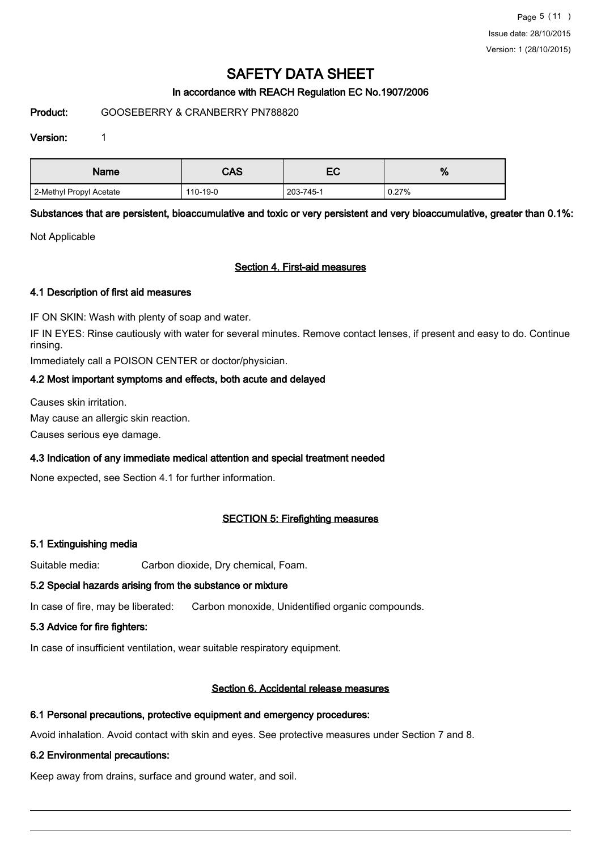Page 5 (11 ) Issue date: 28/10/2015 Version: 1 (28/10/2015)

# SAFETY DATA SHEET

## In accordance with REACH Regulation EC No.1907/2006

#### Product: GOOSEBERRY & CRANBERRY PN788820

#### Version: 1

| Name                    | CAS      | — с<br>ᄃ  | ٥,<br>70 |
|-------------------------|----------|-----------|----------|
| 2-Methyl Propyl Acetate | 110-19-0 | 203-745-1 | 0.27%    |

Substances that are persistent, bioaccumulative and toxic or very persistent and very bioaccumulative, greater than 0.1%:

Not Applicable

#### Section 4. First-aid measures

#### 4.1 Description of first aid measures

IF ON SKIN: Wash with plenty of soap and water.

IF IN EYES: Rinse cautiously with water for several minutes. Remove contact lenses, if present and easy to do. Continue rinsing.

Immediately call a POISON CENTER or doctor/physician.

# 4.2 Most important symptoms and effects, both acute and delayed

Causes skin irritation.

May cause an allergic skin reaction.

Causes serious eye damage.

# 4.3 Indication of any immediate medical attention and special treatment needed

None expected, see Section 4.1 for further information.

# SECTION 5: Firefighting measures

# 5.1 Extinguishing media

Suitable media: Carbon dioxide, Dry chemical, Foam.

#### 5.2 Special hazards arising from the substance or mixture

In case of fire, may be liberated: Carbon monoxide, Unidentified organic compounds.

# 5.3 Advice for fire fighters:

In case of insufficient ventilation, wear suitable respiratory equipment.

# Section 6. Accidental release measures

# 6.1 Personal precautions, protective equipment and emergency procedures:

Avoid inhalation. Avoid contact with skin and eyes. See protective measures under Section 7 and 8.

# 6.2 Environmental precautions:

Keep away from drains, surface and ground water, and soil.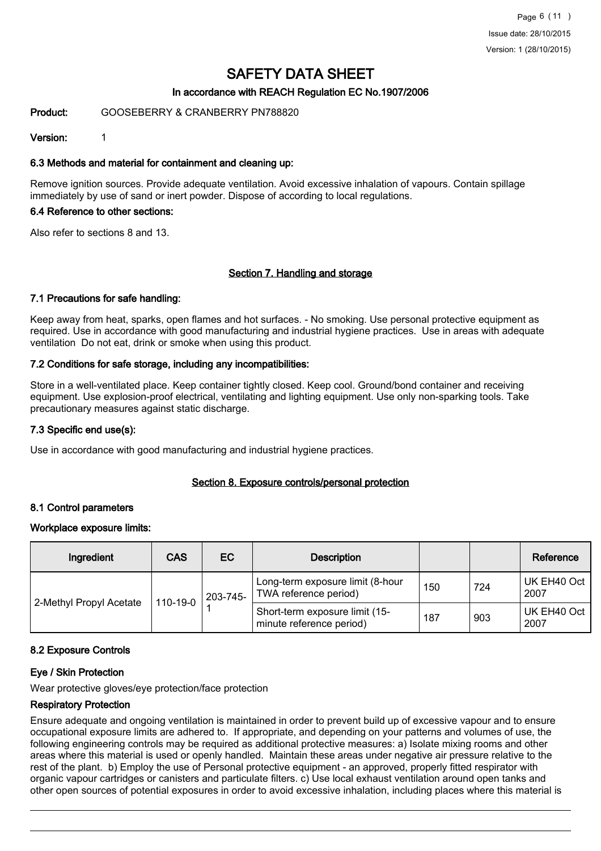# In accordance with REACH Regulation EC No.1907/2006

#### Product: GOOSEBERRY & CRANBERRY PN788820

#### Version: 1

#### 6.3 Methods and material for containment and cleaning up:

Remove ignition sources. Provide adequate ventilation. Avoid excessive inhalation of vapours. Contain spillage immediately by use of sand or inert powder. Dispose of according to local regulations.

#### 6.4 Reference to other sections:

Also refer to sections 8 and 13.

#### Section 7. Handling and storage

#### 7.1 Precautions for safe handling:

Keep away from heat, sparks, open flames and hot surfaces. - No smoking. Use personal protective equipment as required. Use in accordance with good manufacturing and industrial hygiene practices. Use in areas with adequate ventilation Do not eat, drink or smoke when using this product.

#### 7.2 Conditions for safe storage, including any incompatibilities:

Store in a well-ventilated place. Keep container tightly closed. Keep cool. Ground/bond container and receiving equipment. Use explosion-proof electrical, ventilating and lighting equipment. Use only non-sparking tools. Take precautionary measures against static discharge.

#### 7.3 Specific end use(s):

Use in accordance with good manufacturing and industrial hygiene practices.

#### Section 8. Exposure controls/personal protection

#### 8.1 Control parameters

#### Workplace exposure limits:

| Ingredient              | <b>CAS</b> | EC.      | <b>Description</b>                                         |     |     | Reference           |
|-------------------------|------------|----------|------------------------------------------------------------|-----|-----|---------------------|
|                         |            | 203-745- | Long-term exposure limit (8-hour<br>TWA reference period)  | 150 | 724 | UK EH40 Oct<br>2007 |
| 2-Methyl Propyl Acetate | 110-19-0   |          | Short-term exposure limit (15-<br>minute reference period) | 187 | 903 | UK EH40 Oct<br>2007 |

#### 8.2 Exposure Controls

# Eye / Skin Protection

Wear protective gloves/eye protection/face protection

#### Respiratory Protection

Ensure adequate and ongoing ventilation is maintained in order to prevent build up of excessive vapour and to ensure occupational exposure limits are adhered to. If appropriate, and depending on your patterns and volumes of use, the following engineering controls may be required as additional protective measures: a) Isolate mixing rooms and other areas where this material is used or openly handled. Maintain these areas under negative air pressure relative to the rest of the plant. b) Employ the use of Personal protective equipment - an approved, properly fitted respirator with organic vapour cartridges or canisters and particulate filters. c) Use local exhaust ventilation around open tanks and other open sources of potential exposures in order to avoid excessive inhalation, including places where this material is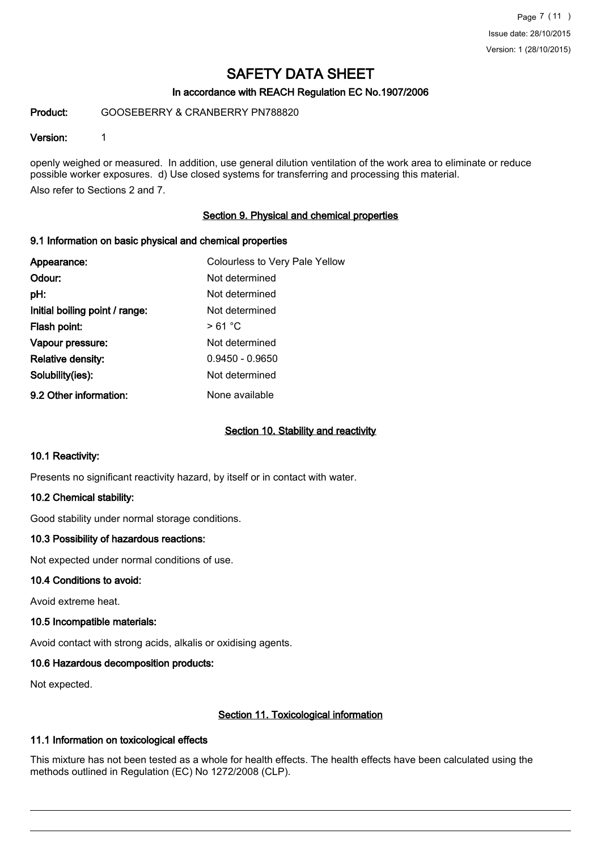# In accordance with REACH Regulation EC No.1907/2006

Product: GOOSEBERRY & CRANBERRY PN788820

#### Version: 1

openly weighed or measured. In addition, use general dilution ventilation of the work area to eliminate or reduce possible worker exposures. d) Use closed systems for transferring and processing this material. Also refer to Sections 2 and 7.

#### Section 9. Physical and chemical properties

#### 9.1 Information on basic physical and chemical properties

| Appearance:                    | Colourless to Very Pale Yellow |
|--------------------------------|--------------------------------|
| Odour:                         | Not determined                 |
| pH:                            | Not determined                 |
| Initial boiling point / range: | Not determined                 |
| Flash point:                   | >61 °C                         |
| Vapour pressure:               | Not determined                 |
| <b>Relative density:</b>       | $0.9450 - 0.9650$              |
| Solubility(ies):               | Not determined                 |
| 9.2 Other information:         | None available                 |

#### Section 10. Stability and reactivity

#### 10.1 Reactivity:

Presents no significant reactivity hazard, by itself or in contact with water.

#### 10.2 Chemical stability:

Good stability under normal storage conditions.

# 10.3 Possibility of hazardous reactions:

Not expected under normal conditions of use.

#### 10.4 Conditions to avoid:

Avoid extreme heat.

#### 10.5 Incompatible materials:

Avoid contact with strong acids, alkalis or oxidising agents.

# 10.6 Hazardous decomposition products:

Not expected.

# Section 11. Toxicological information

# 11.1 Information on toxicological effects

This mixture has not been tested as a whole for health effects. The health effects have been calculated using the methods outlined in Regulation (EC) No 1272/2008 (CLP).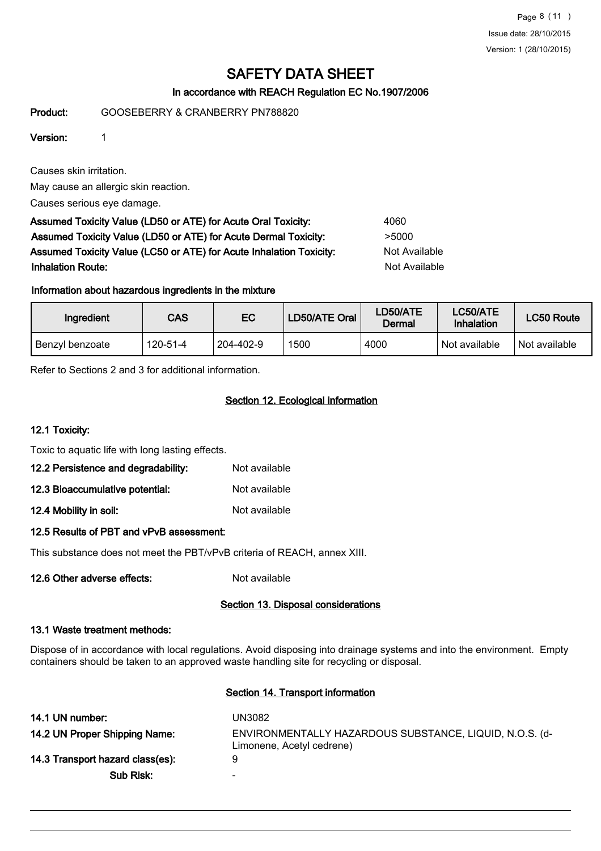Page 8 (11 ) Issue date: 28/10/2015 Version: 1 (28/10/2015)

# SAFETY DATA SHEET

# In accordance with REACH Regulation EC No.1907/2006

Product: GOOSEBERRY & CRANBERRY PN788820

# Version: 1

Causes skin irritation.

May cause an allergic skin reaction.

Causes serious eye damage.

Assumed Toxicity Value (LD50 or ATE) for Acute Oral Toxicity: 4060 Assumed Toxicity Value (LD50 or ATE) for Acute Dermal Toxicity: >5000 Assumed Toxicity Value (LC50 or ATE) for Acute Inhalation Toxicity: Not Available **Inhalation Route:** Not Available in the United States of Available in the United States of Available in the United States of Available in the United States of Available in the United States of Available in the United Stat

# Information about hazardous ingredients in the mixture

| Ingredient      | CAS      | EC        | LD50/ATE Oral | LD50/ATE<br>Dermal | <b>LC50/ATE</b><br>Inhalation | LC50 Route    |
|-----------------|----------|-----------|---------------|--------------------|-------------------------------|---------------|
| Benzyl benzoate | 120-51-4 | 204-402-9 | 1500          | 4000               | Not available                 | Not available |

Refer to Sections 2 and 3 for additional information.

# Section 12. Ecological information

# 12.1 Toxicity:

Toxic to aquatic life with long lasting effects.

| Not available |
|---------------|
|               |

- 12.3 Bioaccumulative potential: Not available
- 12.4 Mobility in soil: Not available

# 12.5 Results of PBT and vPvB assessment:

This substance does not meet the PBT/vPvB criteria of REACH, annex XIII.

12.6 Other adverse effects: Not available

# Section 13. Disposal considerations

# 13.1 Waste treatment methods:

Dispose of in accordance with local regulations. Avoid disposing into drainage systems and into the environment. Empty containers should be taken to an approved waste handling site for recycling or disposal.

# Section 14. Transport information

| 14.1 UN number:                  | UN3082                                                                               |
|----------------------------------|--------------------------------------------------------------------------------------|
| 14.2 UN Proper Shipping Name:    | ENVIRONMENTALLY HAZARDOUS SUBSTANCE, LIQUID, N.O.S. (d-<br>Limonene, Acetyl cedrene) |
| 14.3 Transport hazard class(es): | 9                                                                                    |
| Sub Risk:                        | $\overline{\phantom{0}}$                                                             |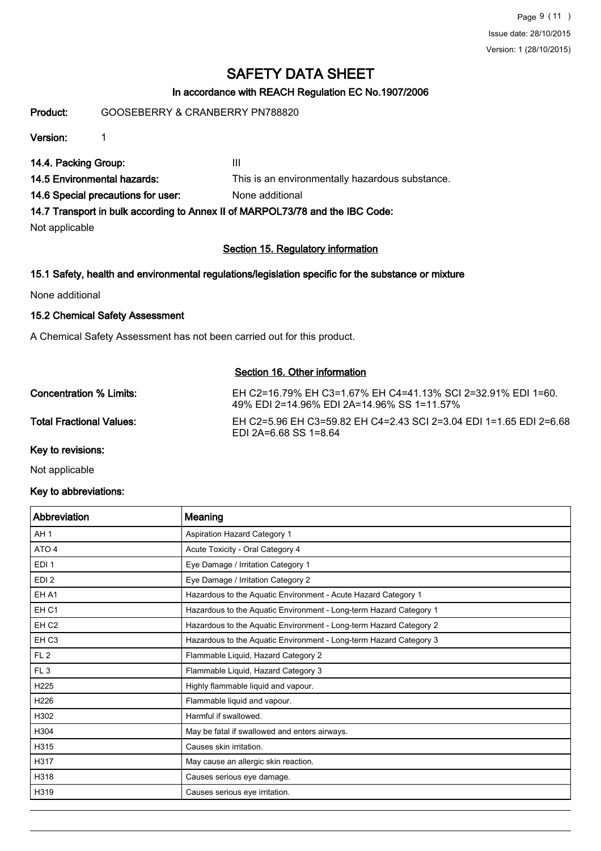Page 9 (11 ) Issue date: 28/10/2015 Version: 1 (28/10/2015)

# SAFETY DATA SHEET

# In accordance with REACH Regulation EC No.1907/2006

Product: GOOSEBERRY & CRANBERRY PN788820

Version: 1

14.4. Packing Group: III

14.5 Environmental hazards: This is an environmentally hazardous substance.

14.6 Special precautions for user: None additional

14.7 Transport in bulk according to Annex II of MARPOL73/78 and the IBC Code:

Not applicable

# Section 15. Regulatory information

# 15.1 Safety, health and environmental regulations/legislation specific for the substance or mixture

None additional

# 15.2 Chemical Safety Assessment

A Chemical Safety Assessment has not been carried out for this product.

# Section 16. Other information

| Concentration % Limits:         | EH C2=16.79% EH C3=1.67% EH C4=41.13% SCI 2=32.91% EDI 1=60.<br>49% EDI 2=14.96% EDI 2A=14.96% SS 1=11.57% |
|---------------------------------|------------------------------------------------------------------------------------------------------------|
| <b>Total Fractional Values:</b> | EH C2=5.96 EH C3=59.82 EH C4=2.43 SCI 2=3.04 EDI 1=1.65 EDI 2=6.68<br>EDI 2A=6.68 SS 1=8.64                |
| Key to revisions:               |                                                                                                            |

Not applicable

# Key to abbreviations:

| Abbreviation     | Meaning                                                            |
|------------------|--------------------------------------------------------------------|
| AH <sub>1</sub>  | Aspiration Hazard Category 1                                       |
| ATO <sub>4</sub> | Acute Toxicity - Oral Category 4                                   |
| EDI <sub>1</sub> | Eye Damage / Irritation Category 1                                 |
| EDI <sub>2</sub> | Eye Damage / Irritation Category 2                                 |
| EH A1            | Hazardous to the Aquatic Environment - Acute Hazard Category 1     |
| EH <sub>C1</sub> | Hazardous to the Aquatic Environment - Long-term Hazard Category 1 |
| EH <sub>C2</sub> | Hazardous to the Aquatic Environment - Long-term Hazard Category 2 |
| EH <sub>C3</sub> | Hazardous to the Aquatic Environment - Long-term Hazard Category 3 |
| FL2              | Flammable Liquid, Hazard Category 2                                |
| FL <sub>3</sub>  | Flammable Liquid, Hazard Category 3                                |
| H <sub>225</sub> | Highly flammable liquid and vapour.                                |
| H226             | Flammable liquid and vapour.                                       |
| H302             | Harmful if swallowed.                                              |
| H304             | May be fatal if swallowed and enters airways.                      |
| H315             | Causes skin irritation.                                            |
| H317             | May cause an allergic skin reaction.                               |
| H318             | Causes serious eye damage.                                         |
| H319             | Causes serious eye irritation.                                     |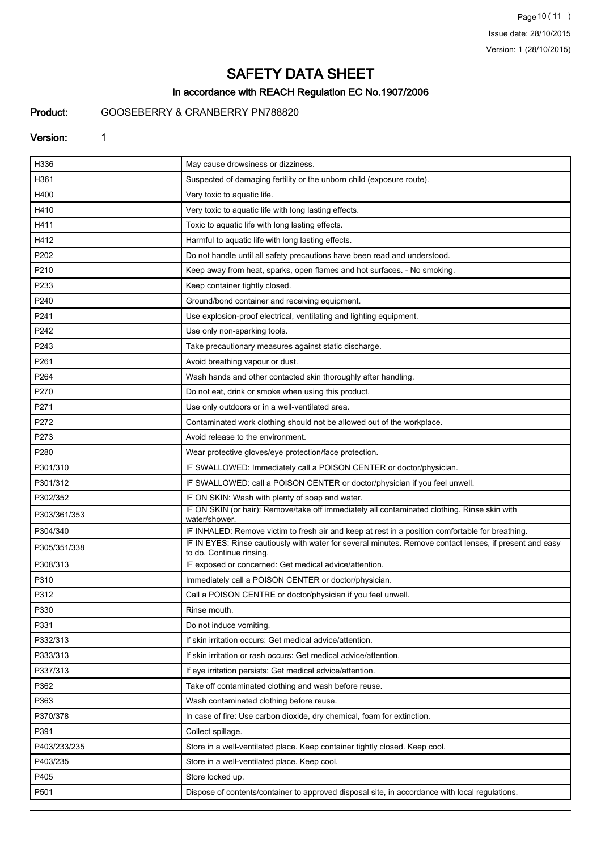Page 10 (11) Issue date: 28/10/2015 Version: 1 (28/10/2015)

# SAFETY DATA SHEET

# In accordance with REACH Regulation EC No.1907/2006

# Product: GOOSEBERRY & CRANBERRY PN788820

#### Version: 1

| H336         | May cause drowsiness or dizziness.                                                                                                  |
|--------------|-------------------------------------------------------------------------------------------------------------------------------------|
| H361         | Suspected of damaging fertility or the unborn child (exposure route).                                                               |
| H400         | Very toxic to aquatic life.                                                                                                         |
| H410         | Very toxic to aquatic life with long lasting effects.                                                                               |
| H411         | Toxic to aquatic life with long lasting effects.                                                                                    |
| H412         | Harmful to aquatic life with long lasting effects.                                                                                  |
| P202         | Do not handle until all safety precautions have been read and understood.                                                           |
| P210         | Keep away from heat, sparks, open flames and hot surfaces. - No smoking.                                                            |
| P233         | Keep container tightly closed.                                                                                                      |
| P240         | Ground/bond container and receiving equipment.                                                                                      |
| P241         | Use explosion-proof electrical, ventilating and lighting equipment.                                                                 |
| P242         | Use only non-sparking tools.                                                                                                        |
| P243         | Take precautionary measures against static discharge.                                                                               |
| P261         | Avoid breathing vapour or dust.                                                                                                     |
| P264         | Wash hands and other contacted skin thoroughly after handling.                                                                      |
| P270         | Do not eat, drink or smoke when using this product.                                                                                 |
| P271         | Use only outdoors or in a well-ventilated area.                                                                                     |
| P272         | Contaminated work clothing should not be allowed out of the workplace.                                                              |
| P273         | Avoid release to the environment.                                                                                                   |
| P280         | Wear protective gloves/eye protection/face protection.                                                                              |
| P301/310     | IF SWALLOWED: Immediately call a POISON CENTER or doctor/physician.                                                                 |
| P301/312     | IF SWALLOWED: call a POISON CENTER or doctor/physician if you feel unwell.                                                          |
| P302/352     | IF ON SKIN: Wash with plenty of soap and water.                                                                                     |
| P303/361/353 | IF ON SKIN (or hair): Remove/take off immediately all contaminated clothing. Rinse skin with<br>water/shower.                       |
| P304/340     | IF INHALED: Remove victim to fresh air and keep at rest in a position comfortable for breathing.                                    |
| P305/351/338 | IF IN EYES: Rinse cautiously with water for several minutes. Remove contact lenses, if present and easy<br>to do. Continue rinsing. |
| P308/313     | IF exposed or concerned: Get medical advice/attention.                                                                              |
| P310         | Immediately call a POISON CENTER or doctor/physician.                                                                               |
| P312         | Call a POISON CENTRE or doctor/physician if you feel unwell.                                                                        |
| P330         | Rinse mouth.                                                                                                                        |
| P331         | Do not induce vomiting.                                                                                                             |
| P332/313     | If skin irritation occurs: Get medical advice/attention.                                                                            |
| P333/313     | If skin irritation or rash occurs: Get medical advice/attention.                                                                    |
| P337/313     | If eye irritation persists: Get medical advice/attention.                                                                           |
| P362         | Take off contaminated clothing and wash before reuse.                                                                               |
| P363         | Wash contaminated clothing before reuse.                                                                                            |
| P370/378     | In case of fire: Use carbon dioxide, dry chemical, foam for extinction.                                                             |
| P391         | Collect spillage.                                                                                                                   |
| P403/233/235 | Store in a well-ventilated place. Keep container tightly closed. Keep cool.                                                         |
| P403/235     | Store in a well-ventilated place. Keep cool.                                                                                        |
| P405         | Store locked up.                                                                                                                    |
| P501         | Dispose of contents/container to approved disposal site, in accordance with local regulations.                                      |
|              |                                                                                                                                     |